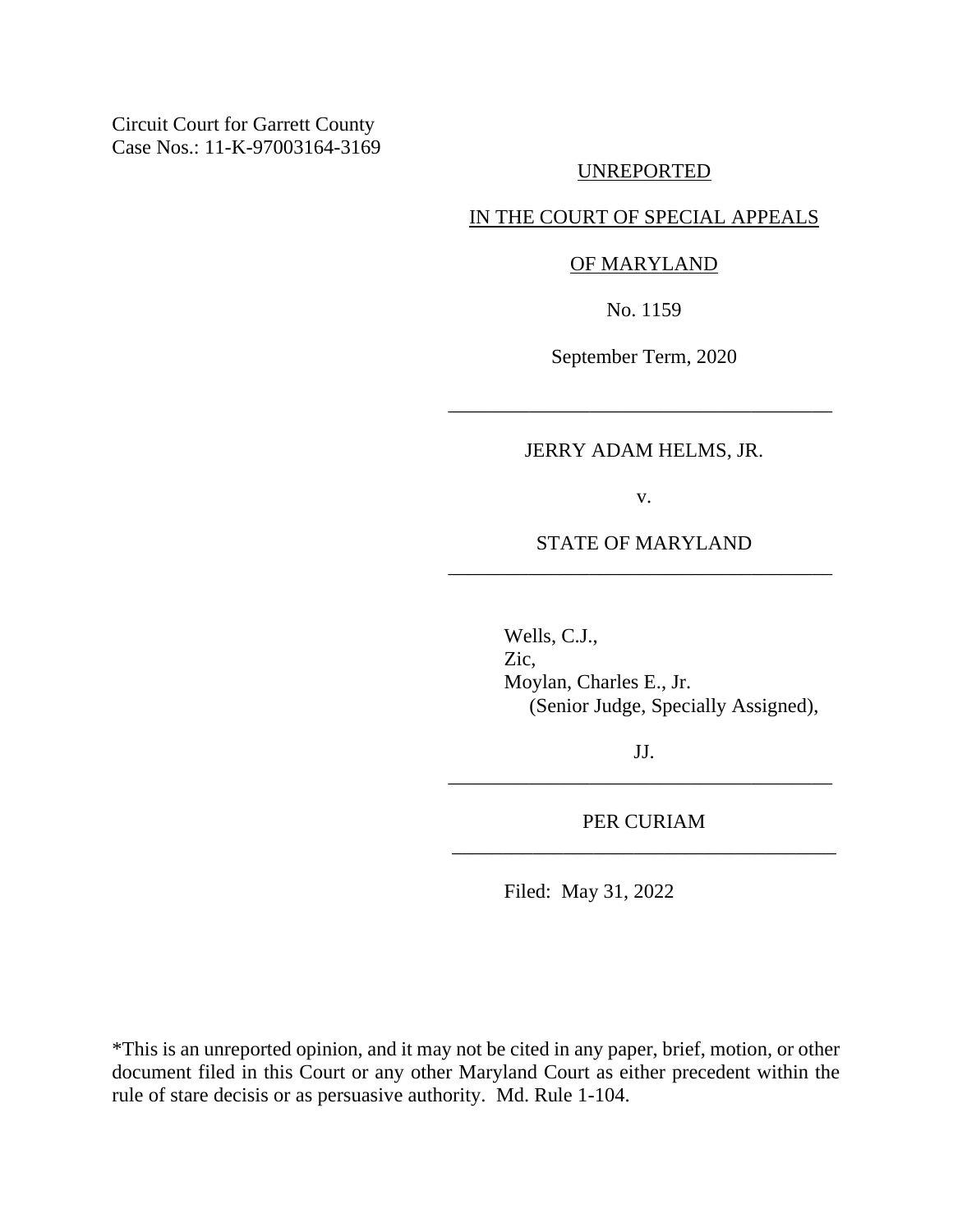Circuit Court for Garrett County Case Nos.: 11-K-97003164-3169

#### UNREPORTED

### IN THE COURT OF SPECIAL APPEALS

#### OF MARYLAND

No. 1159

September Term, 2020

#### JERRY ADAM HELMS, JR.

\_\_\_\_\_\_\_\_\_\_\_\_\_\_\_\_\_\_\_\_\_\_\_\_\_\_\_\_\_\_\_\_\_\_\_\_\_\_

v.

## STATE OF MARYLAND \_\_\_\_\_\_\_\_\_\_\_\_\_\_\_\_\_\_\_\_\_\_\_\_\_\_\_\_\_\_\_\_\_\_\_\_\_\_

Wells, C.J., Zic, Moylan, Charles E., Jr. (Senior Judge, Specially Assigned),

JJ. \_\_\_\_\_\_\_\_\_\_\_\_\_\_\_\_\_\_\_\_\_\_\_\_\_\_\_\_\_\_\_\_\_\_\_\_\_\_

PER CURIAM \_\_\_\_\_\_\_\_\_\_\_\_\_\_\_\_\_\_\_\_\_\_\_\_\_\_\_\_\_\_\_\_\_\_\_\_\_\_

Filed: May 31, 2022

\*This is an unreported opinion, and it may not be cited in any paper, brief, motion, or other document filed in this Court or any other Maryland Court as either precedent within the rule of stare decisis or as persuasive authority. Md. Rule 1-104.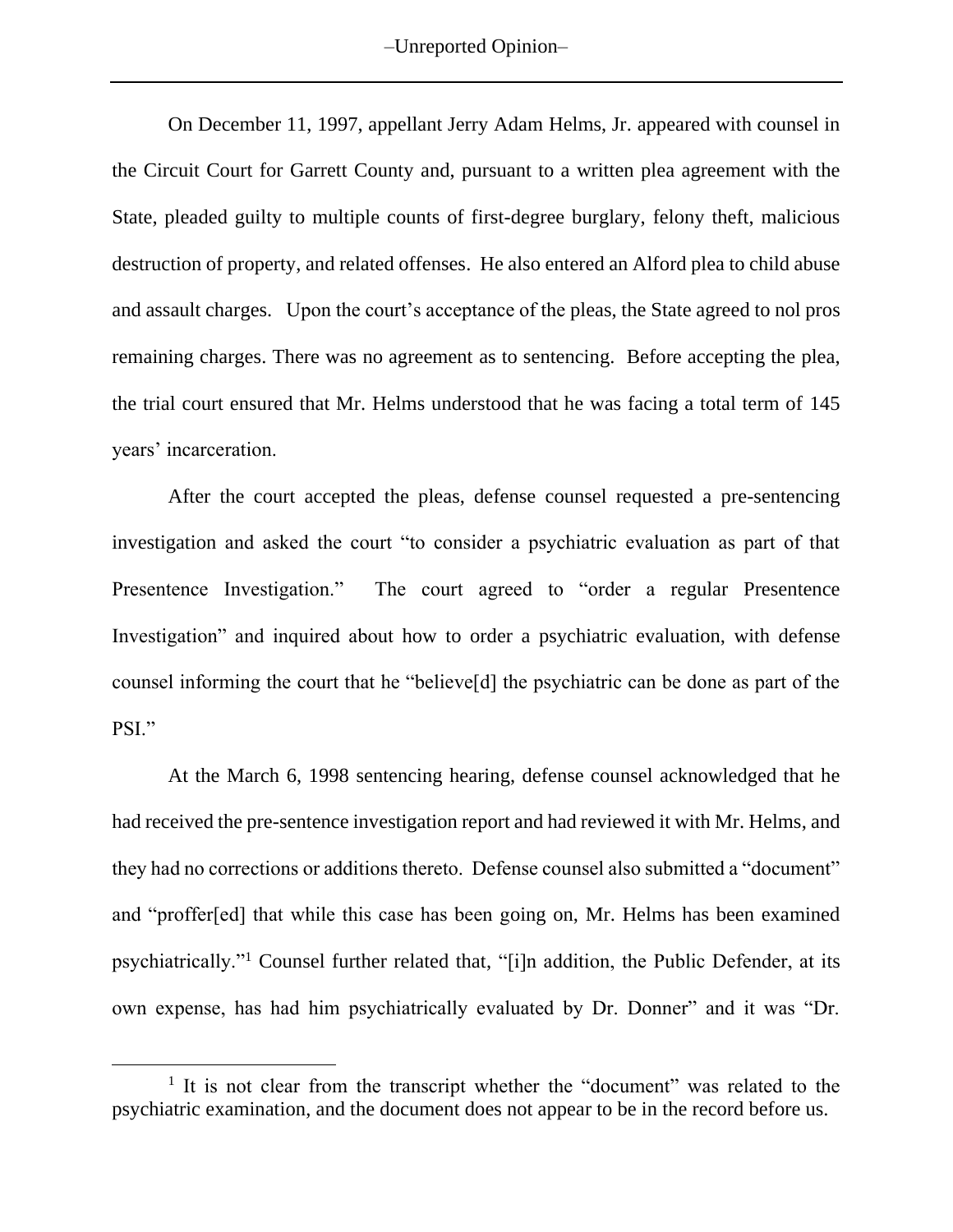–Unreported Opinion–

On December 11, 1997, appellant Jerry Adam Helms, Jr. appeared with counsel in the Circuit Court for Garrett County and, pursuant to a written plea agreement with the State, pleaded guilty to multiple counts of first-degree burglary, felony theft, malicious destruction of property, and related offenses. He also entered an Alford plea to child abuse and assault charges. Upon the court's acceptance of the pleas, the State agreed to nol pros remaining charges. There was no agreement as to sentencing. Before accepting the plea, the trial court ensured that Mr. Helms understood that he was facing a total term of 145 years' incarceration.

After the court accepted the pleas, defense counsel requested a pre-sentencing investigation and asked the court "to consider a psychiatric evaluation as part of that Presentence Investigation." The court agreed to "order a regular Presentence Investigation" and inquired about how to order a psychiatric evaluation, with defense counsel informing the court that he "believe[d] the psychiatric can be done as part of the PSI."

At the March 6, 1998 sentencing hearing, defense counsel acknowledged that he had received the pre-sentence investigation report and had reviewed it with Mr. Helms, and they had no corrections or additions thereto. Defense counsel also submitted a "document" and "proffer[ed] that while this case has been going on, Mr. Helms has been examined psychiatrically."<sup>1</sup> Counsel further related that, "[i]n addition, the Public Defender, at its own expense, has had him psychiatrically evaluated by Dr. Donner" and it was "Dr.

<sup>&</sup>lt;sup>1</sup> It is not clear from the transcript whether the "document" was related to the psychiatric examination, and the document does not appear to be in the record before us.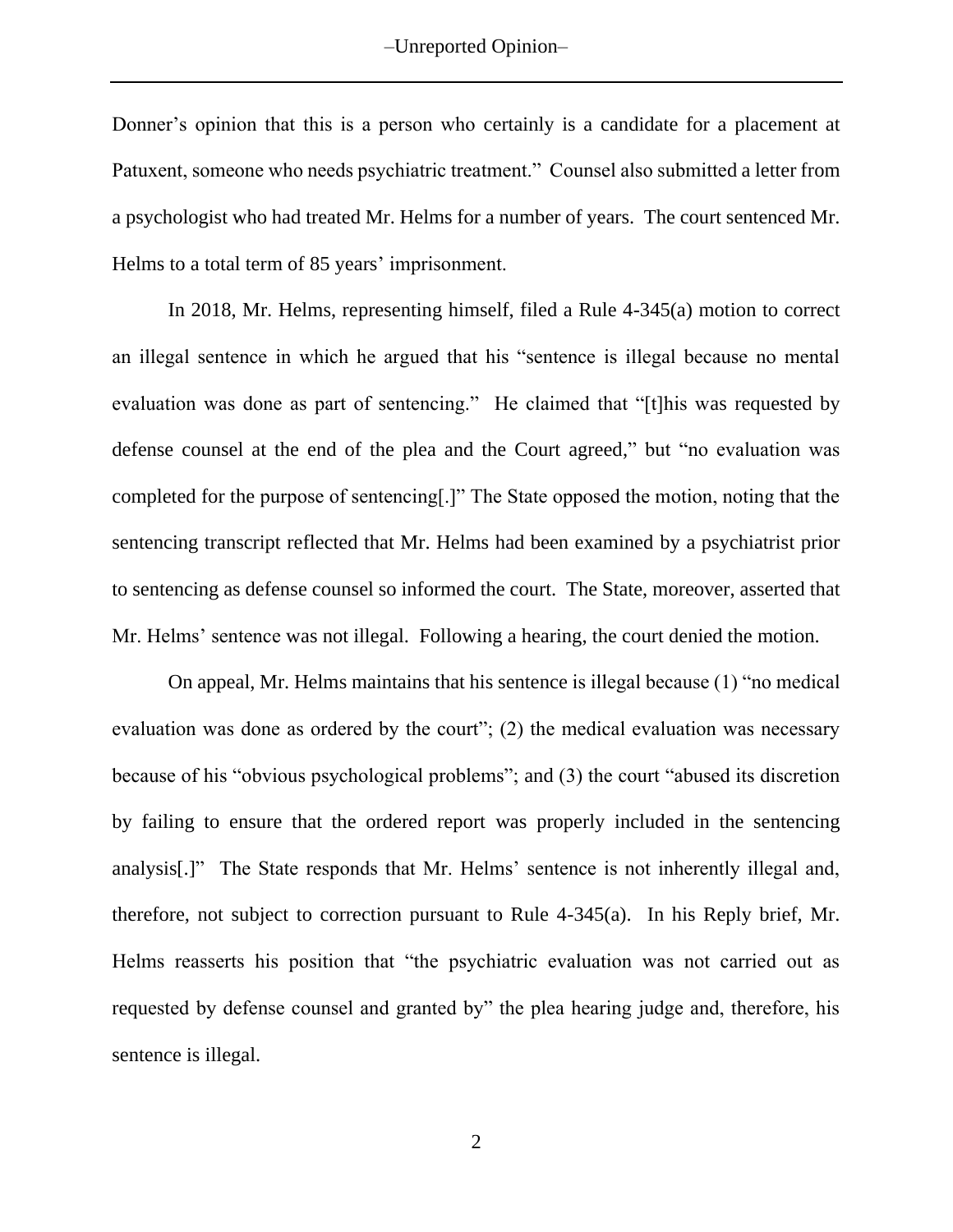–Unreported Opinion–

Donner's opinion that this is a person who certainly is a candidate for a placement at Patuxent, someone who needs psychiatric treatment." Counsel also submitted a letter from a psychologist who had treated Mr. Helms for a number of years. The court sentenced Mr. Helms to a total term of 85 years' imprisonment.

In 2018, Mr. Helms, representing himself, filed a Rule 4-345(a) motion to correct an illegal sentence in which he argued that his "sentence is illegal because no mental evaluation was done as part of sentencing." He claimed that "[t]his was requested by defense counsel at the end of the plea and the Court agreed," but "no evaluation was completed for the purpose of sentencing[.]" The State opposed the motion, noting that the sentencing transcript reflected that Mr. Helms had been examined by a psychiatrist prior to sentencing as defense counsel so informed the court. The State, moreover, asserted that Mr. Helms' sentence was not illegal. Following a hearing, the court denied the motion.

On appeal, Mr. Helms maintains that his sentence is illegal because (1) "no medical evaluation was done as ordered by the court"; (2) the medical evaluation was necessary because of his "obvious psychological problems"; and (3) the court "abused its discretion by failing to ensure that the ordered report was properly included in the sentencing analysis[.]" The State responds that Mr. Helms' sentence is not inherently illegal and, therefore, not subject to correction pursuant to Rule 4-345(a). In his Reply brief, Mr. Helms reasserts his position that "the psychiatric evaluation was not carried out as requested by defense counsel and granted by" the plea hearing judge and, therefore, his sentence is illegal.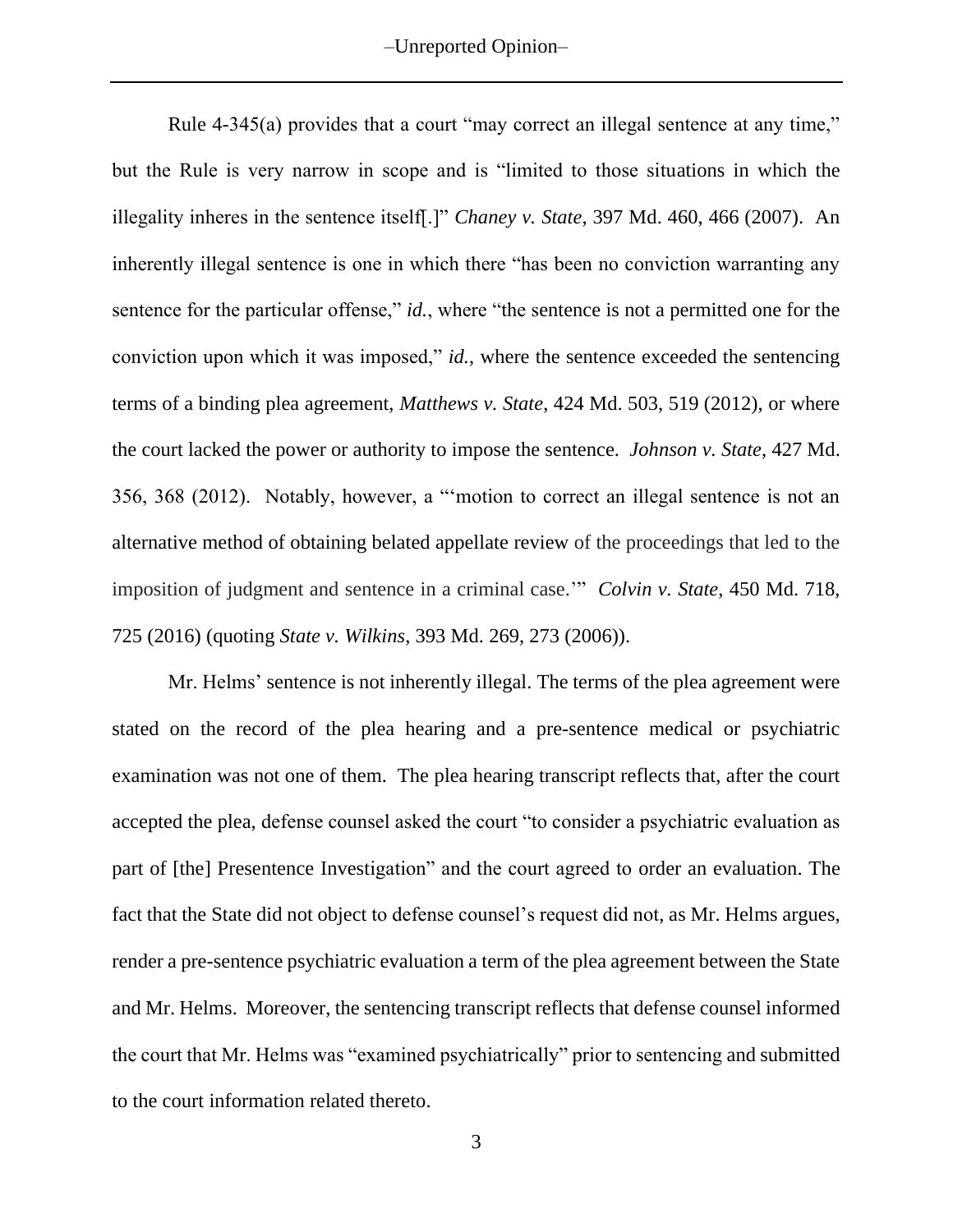-Unreported Opinion-

Rule 4-345(a) provides that a court "may correct an illegal sentence at any time," but the Rule is very narrow in scope and is "limited to those situations in which the illegality inheres in the sentence itself[.]" *Chaney v. State*, 397 Md. 460, 466 (2007). An inherently illegal sentence is one in which there "has been no conviction warranting any sentence for the particular offense," *id.*, where "the sentence is not a permitted one for the conviction upon which it was imposed," *id.*, where the sentence exceeded the sentencing terms of a binding plea agreement, *Matthews v. State*, 424 Md. 503, 519 (2012), or where the court lacked the power or authority to impose the sentence. *Johnson v. State*, 427 Md. 356, 368 (2012). Notably, however, a "'motion to correct an illegal sentence is not an alternative method of obtaining belated appellate review of the proceedings that led to the imposition of judgment and sentence in a criminal case.'" *Colvin v. State*, 450 Md. 718, 725 (2016) (quoting *State v. Wilkins*, 393 Md. 269, 273 (2006)).

Mr. Helms' sentence is not inherently illegal. The terms of the plea agreement were stated on the record of the plea hearing and a pre-sentence medical or psychiatric examination was not one of them. The plea hearing transcript reflects that, after the court accepted the plea, defense counsel asked the court "to consider a psychiatric evaluation as part of [the] Presentence Investigation" and the court agreed to order an evaluation. The fact that the State did not object to defense counsel's request did not, as Mr. Helms argues, render a pre-sentence psychiatric evaluation a term of the plea agreement between the State and Mr. Helms. Moreover, the sentencing transcript reflects that defense counsel informed the court that Mr. Helms was "examined psychiatrically" prior to sentencing and submitted to the court information related thereto.